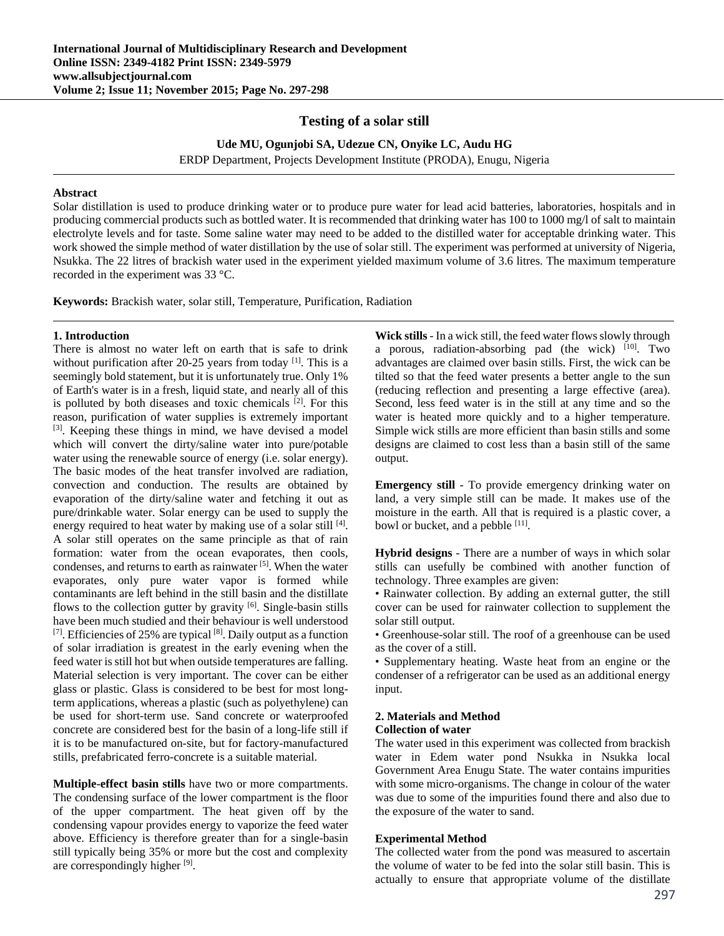# **Testing of a solar still**

# **Ude MU, Ogunjobi SA, Udezue CN, Onyike LC, Audu HG**  ERDP Department, Projects Development Institute (PRODA), Enugu, Nigeria

### **Abstract**

Solar distillation is used to produce drinking water or to produce pure water for lead acid batteries, laboratories, hospitals and in producing commercial products such as bottled water. It is recommended that drinking water has 100 to 1000 mg/l of salt to maintain electrolyte levels and for taste. Some saline water may need to be added to the distilled water for acceptable drinking water. This work showed the simple method of water distillation by the use of solar still. The experiment was performed at university of Nigeria, Nsukka. The 22 litres of brackish water used in the experiment yielded maximum volume of 3.6 litres. The maximum temperature recorded in the experiment was 33 °C.

**Keywords:** Brackish water, solar still, Temperature, Purification, Radiation

## **1. Introduction**

There is almost no water left on earth that is safe to drink without purification after 20-25 years from today <sup>[1]</sup>. This is a seemingly bold statement, but it is unfortunately true. Only 1% of Earth's water is in a fresh, liquid state, and nearly all of this is polluted by both diseases and toxic chemicals <sup>[2]</sup>. For this reason, purification of water supplies is extremely important [3]. Keeping these things in mind, we have devised a model which will convert the dirty/saline water into pure/potable water using the renewable source of energy (i.e. solar energy). The basic modes of the heat transfer involved are radiation, convection and conduction. The results are obtained by evaporation of the dirty/saline water and fetching it out as pure/drinkable water. Solar energy can be used to supply the energy required to heat water by making use of a solar still [4]. A solar still operates on the same principle as that of rain formation: water from the ocean evaporates, then cools, condenses, and returns to earth as rainwater [5]. When the water evaporates, only pure water vapor is formed while contaminants are left behind in the still basin and the distillate flows to the collection gutter by gravity  $[6]$ . Single-basin stills have been much studied and their behaviour is well understood  $[7]$ . Efficiencies of 25% are typical  $[8]$ . Daily output as a function of solar irradiation is greatest in the early evening when the feed water is still hot but when outside temperatures are falling. Material selection is very important. The cover can be either glass or plastic. Glass is considered to be best for most longterm applications, whereas a plastic (such as polyethylene) can be used for short-term use. Sand concrete or waterproofed concrete are considered best for the basin of a long-life still if it is to be manufactured on-site, but for factory-manufactured stills, prefabricated ferro-concrete is a suitable material.

**Multiple-effect basin stills** have two or more compartments. The condensing surface of the lower compartment is the floor of the upper compartment. The heat given off by the condensing vapour provides energy to vaporize the feed water above. Efficiency is therefore greater than for a single-basin still typically being 35% or more but the cost and complexity are correspondingly higher [9].

**Wick stills** - In a wick still, the feed water flows slowly through a porous, radiation-absorbing pad (the wick)  $[10]$ . Two advantages are claimed over basin stills. First, the wick can be tilted so that the feed water presents a better angle to the sun (reducing reflection and presenting a large effective (area). Second, less feed water is in the still at any time and so the water is heated more quickly and to a higher temperature. Simple wick stills are more efficient than basin stills and some designs are claimed to cost less than a basin still of the same output.

**Emergency still** - To provide emergency drinking water on land, a very simple still can be made. It makes use of the moisture in the earth. All that is required is a plastic cover, a bowl or bucket, and a pebble [11].

**Hybrid designs** - There are a number of ways in which solar stills can usefully be combined with another function of technology. Three examples are given:

• Rainwater collection. By adding an external gutter, the still cover can be used for rainwater collection to supplement the solar still output.

• Greenhouse-solar still. The roof of a greenhouse can be used as the cover of a still.

• Supplementary heating. Waste heat from an engine or the condenser of a refrigerator can be used as an additional energy input.

# **2. Materials and Method**

## **Collection of water**

The water used in this experiment was collected from brackish water in Edem water pond Nsukka in Nsukka local Government Area Enugu State. The water contains impurities with some micro-organisms. The change in colour of the water was due to some of the impurities found there and also due to the exposure of the water to sand.

# **Experimental Method**

The collected water from the pond was measured to ascertain the volume of water to be fed into the solar still basin. This is actually to ensure that appropriate volume of the distillate